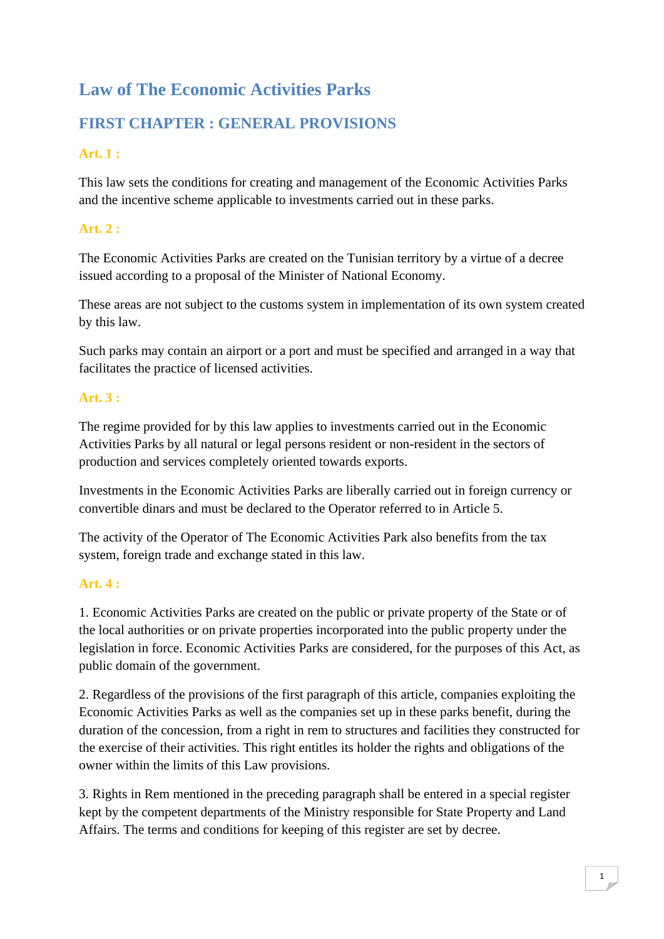# **Law of The Economic Activities Parks**

# **FIRST CHAPTER : GENERAL PROVISIONS**

# **Art. 1 :**

This law sets the conditions for creating and management of the Economic Activities Parks and the incentive scheme applicable to investments carried out in these parks.

# **Art. 2 :**

The Economic Activities Parks are created on the Tunisian territory by a virtue of a decree issued according to a proposal of the Minister of National Economy.

These areas are not subject to the customs system in implementation of its own system created by this law.

Such parks may contain an airport or a port and must be specified and arranged in a way that facilitates the practice of licensed activities.

# **Art. 3 :**

The regime provided for by this law applies to investments carried out in the Economic Activities Parks by all natural or legal persons resident or non-resident in the sectors of production and services completely oriented towards exports.

Investments in the Economic Activities Parks are liberally carried out in foreign currency or convertible dinars and must be declared to the Operator referred to in Article 5.

The activity of the Operator of The Economic Activities Park also benefits from the tax system, foreign trade and exchange stated in this law.

# **Art. 4 :**

1. Economic Activities Parks are created on the public or private property of the State or of the local authorities or on private properties incorporated into the public property under the legislation in force. Economic Activities Parks are considered, for the purposes of this Act, as public domain of the government.

2. Regardless of the provisions of the first paragraph of this article, companies exploiting the Economic Activities Parks as well as the companies set up in these parks benefit, during the duration of the concession, from a right in rem to structures and facilities they constructed for the exercise of their activities. This right entitles its holder the rights and obligations of the owner within the limits of this Law provisions.

3. Rights in Rem mentioned in the preceding paragraph shall be entered in a special register kept by the competent departments of the Ministry responsible for State Property and Land Affairs. The terms and conditions for keeping of this register are set by decree.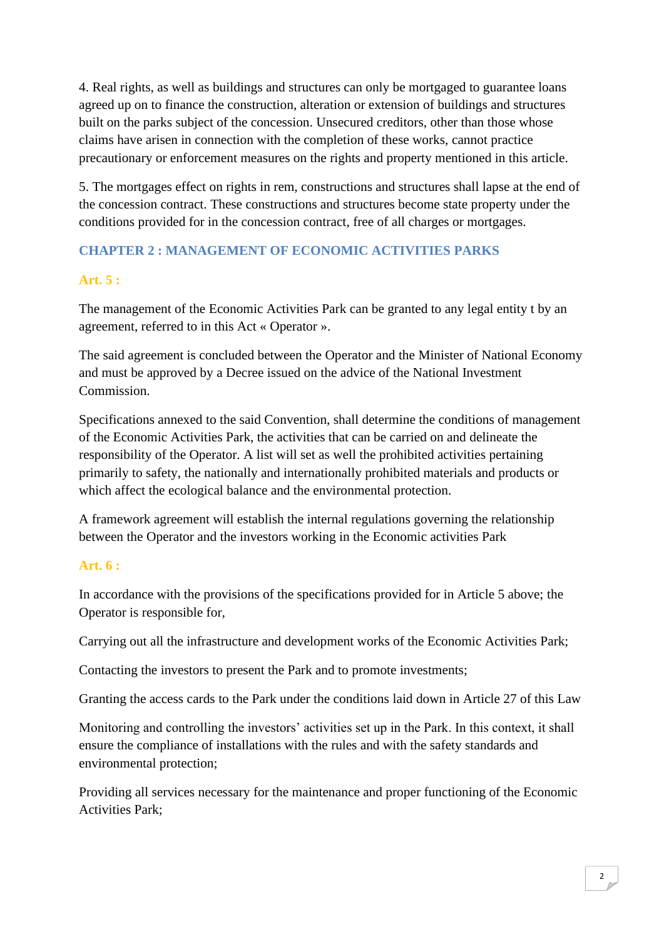4. Real rights, as well as buildings and structures can only be mortgaged to guarantee loans agreed up on to finance the construction, alteration or extension of buildings and structures built on the parks subject of the concession. Unsecured creditors, other than those whose claims have arisen in connection with the completion of these works, cannot practice precautionary or enforcement measures on the rights and property mentioned in this article.

5. The mortgages effect on rights in rem, constructions and structures shall lapse at the end of the concession contract. These constructions and structures become state property under the conditions provided for in the concession contract, free of all charges or mortgages.

# **CHAPTER 2 : MANAGEMENT OF ECONOMIC ACTIVITIES PARKS**

# **Art. 5 :**

The management of the Economic Activities Park can be granted to any legal entity t by an agreement, referred to in this Act « Operator ».

The said agreement is concluded between the Operator and the Minister of National Economy and must be approved by a Decree issued on the advice of the National Investment Commission.

Specifications annexed to the said Convention, shall determine the conditions of management of the Economic Activities Park, the activities that can be carried on and delineate the responsibility of the Operator. A list will set as well the prohibited activities pertaining primarily to safety, the nationally and internationally prohibited materials and products or which affect the ecological balance and the environmental protection.

A framework agreement will establish the internal regulations governing the relationship between the Operator and the investors working in the Economic activities Park

# **Art. 6 :**

In accordance with the provisions of the specifications provided for in Article 5 above; the Operator is responsible for,

Carrying out all the infrastructure and development works of the Economic Activities Park;

Contacting the investors to present the Park and to promote investments;

Granting the access cards to the Park under the conditions laid down in Article 27 of this Law

Monitoring and controlling the investors' activities set up in the Park. In this context, it shall ensure the compliance of installations with the rules and with the safety standards and environmental protection;

Providing all services necessary for the maintenance and proper functioning of the Economic Activities Park;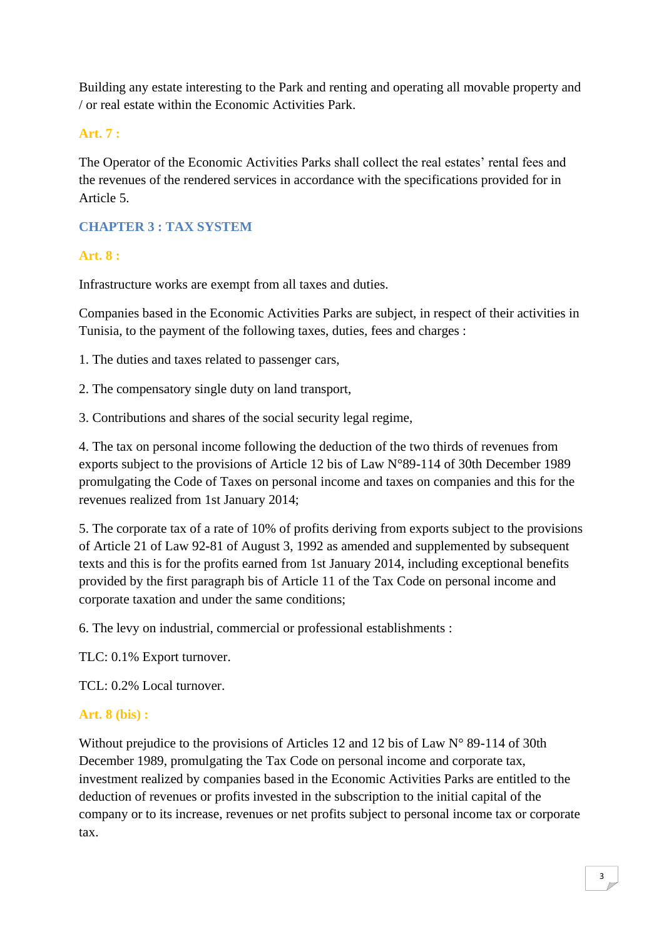Building any estate interesting to the Park and renting and operating all movable property and / or real estate within the Economic Activities Park.

# **Art. 7 :**

The Operator of the Economic Activities Parks shall collect the real estates' rental fees and the revenues of the rendered services in accordance with the specifications provided for in Article 5.

# **CHAPTER 3 : TAX SYSTEM**

# **Art. 8 :**

Infrastructure works are exempt from all taxes and duties.

Companies based in the Economic Activities Parks are subject, in respect of their activities in Tunisia, to the payment of the following taxes, duties, fees and charges :

1. The duties and taxes related to passenger cars,

- 2. The compensatory single duty on land transport,
- 3. Contributions and shares of the social security legal regime,

4. The tax on personal income following the deduction of the two thirds of revenues from exports subject to the provisions of Article 12 bis of Law N°89-114 of 30th December 1989 promulgating the Code of Taxes on personal income and taxes on companies and this for the revenues realized from 1st January 2014;

5. The corporate tax of a rate of 10% of profits deriving from exports subject to the provisions of Article 21 of Law 92-81 of August 3, 1992 as amended and supplemented by subsequent texts and this is for the profits earned from 1st January 2014, including exceptional benefits provided by the first paragraph bis of Article 11 of the Tax Code on personal income and corporate taxation and under the same conditions;

6. The levy on industrial, commercial or professional establishments :

TLC: 0.1% Export turnover.

TCL: 0.2% Local turnover.

# **Art. 8 (bis) :**

Without prejudice to the provisions of Articles 12 and 12 bis of Law N° 89-114 of 30th December 1989, promulgating the Tax Code on personal income and corporate tax, investment realized by companies based in the Economic Activities Parks are entitled to the deduction of revenues or profits invested in the subscription to the initial capital of the company or to its increase, revenues or net profits subject to personal income tax or corporate tax.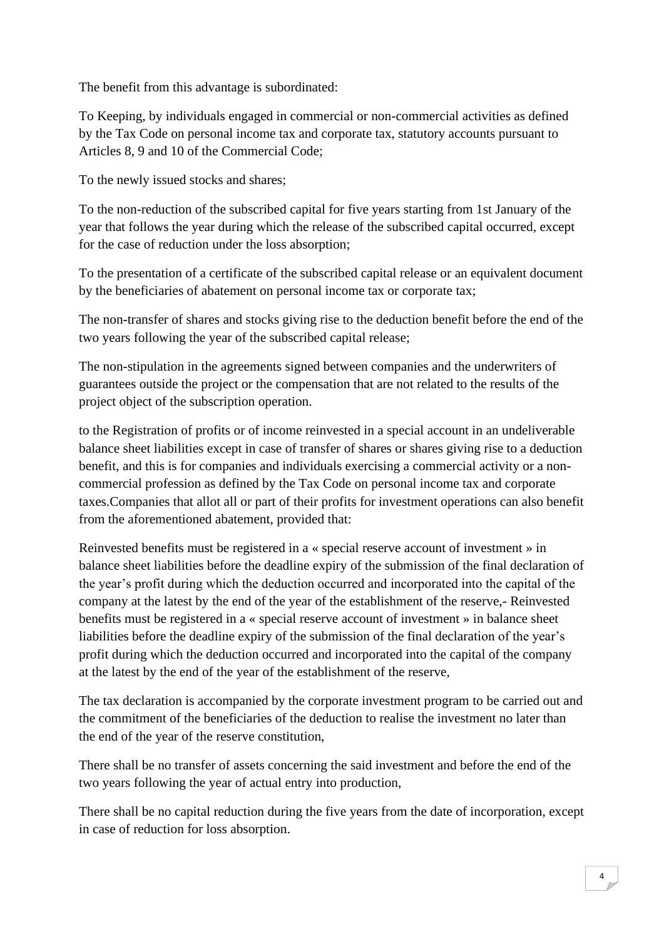The benefit from this advantage is subordinated:

To Keeping, by individuals engaged in commercial or non-commercial activities as defined by the Tax Code on personal income tax and corporate tax, statutory accounts pursuant to Articles 8, 9 and 10 of the Commercial Code;

To the newly issued stocks and shares;

To the non-reduction of the subscribed capital for five years starting from 1st January of the year that follows the year during which the release of the subscribed capital occurred, except for the case of reduction under the loss absorption;

To the presentation of a certificate of the subscribed capital release or an equivalent document by the beneficiaries of abatement on personal income tax or corporate tax;

The non-transfer of shares and stocks giving rise to the deduction benefit before the end of the two years following the year of the subscribed capital release;

The non-stipulation in the agreements signed between companies and the underwriters of guarantees outside the project or the compensation that are not related to the results of the project object of the subscription operation.

to the Registration of profits or of income reinvested in a special account in an undeliverable balance sheet liabilities except in case of transfer of shares or shares giving rise to a deduction benefit, and this is for companies and individuals exercising a commercial activity or a noncommercial profession as defined by the Tax Code on personal income tax and corporate taxes.Companies that allot all or part of their profits for investment operations can also benefit from the aforementioned abatement, provided that:

Reinvested benefits must be registered in a « special reserve account of investment » in balance sheet liabilities before the deadline expiry of the submission of the final declaration of the year's profit during which the deduction occurred and incorporated into the capital of the company at the latest by the end of the year of the establishment of the reserve,- Reinvested benefits must be registered in a « special reserve account of investment » in balance sheet liabilities before the deadline expiry of the submission of the final declaration of the year's profit during which the deduction occurred and incorporated into the capital of the company at the latest by the end of the year of the establishment of the reserve,

The tax declaration is accompanied by the corporate investment program to be carried out and the commitment of the beneficiaries of the deduction to realise the investment no later than the end of the year of the reserve constitution,

There shall be no transfer of assets concerning the said investment and before the end of the two years following the year of actual entry into production,

There shall be no capital reduction during the five years from the date of incorporation, except in case of reduction for loss absorption.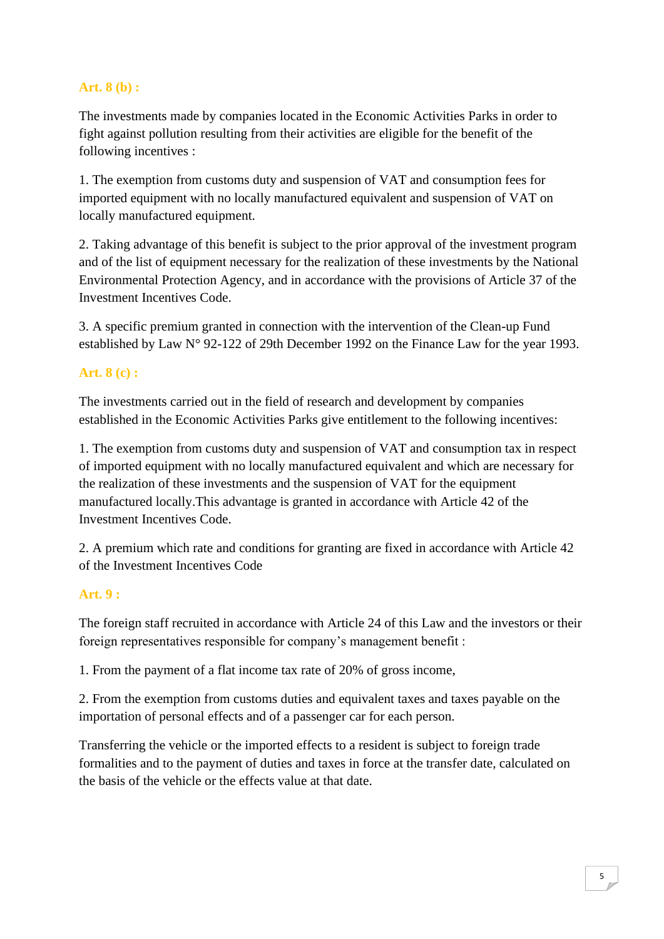# **Art. 8 (b) :**

The investments made by companies located in the Economic Activities Parks in order to fight against pollution resulting from their activities are eligible for the benefit of the following incentives :

1. The exemption from customs duty and suspension of VAT and consumption fees for imported equipment with no locally manufactured equivalent and suspension of VAT on locally manufactured equipment.

2. Taking advantage of this benefit is subject to the prior approval of the investment program and of the list of equipment necessary for the realization of these investments by the National Environmental Protection Agency, and in accordance with the provisions of Article 37 of the Investment Incentives Code.

3. A specific premium granted in connection with the intervention of the Clean-up Fund established by Law N° 92-122 of 29th December 1992 on the Finance Law for the year 1993.

# **Art. 8 (c) :**

The investments carried out in the field of research and development by companies established in the Economic Activities Parks give entitlement to the following incentives:

1. The exemption from customs duty and suspension of VAT and consumption tax in respect of imported equipment with no locally manufactured equivalent and which are necessary for the realization of these investments and the suspension of VAT for the equipment manufactured locally.This advantage is granted in accordance with Article 42 of the Investment Incentives Code.

2. A premium which rate and conditions for granting are fixed in accordance with Article 42 of the Investment Incentives Code

# **Art. 9 :**

The foreign staff recruited in accordance with Article 24 of this Law and the investors or their foreign representatives responsible for company's management benefit :

1. From the payment of a flat income tax rate of 20% of gross income,

2. From the exemption from customs duties and equivalent taxes and taxes payable on the importation of personal effects and of a passenger car for each person.

Transferring the vehicle or the imported effects to a resident is subject to foreign trade formalities and to the payment of duties and taxes in force at the transfer date, calculated on the basis of the vehicle or the effects value at that date.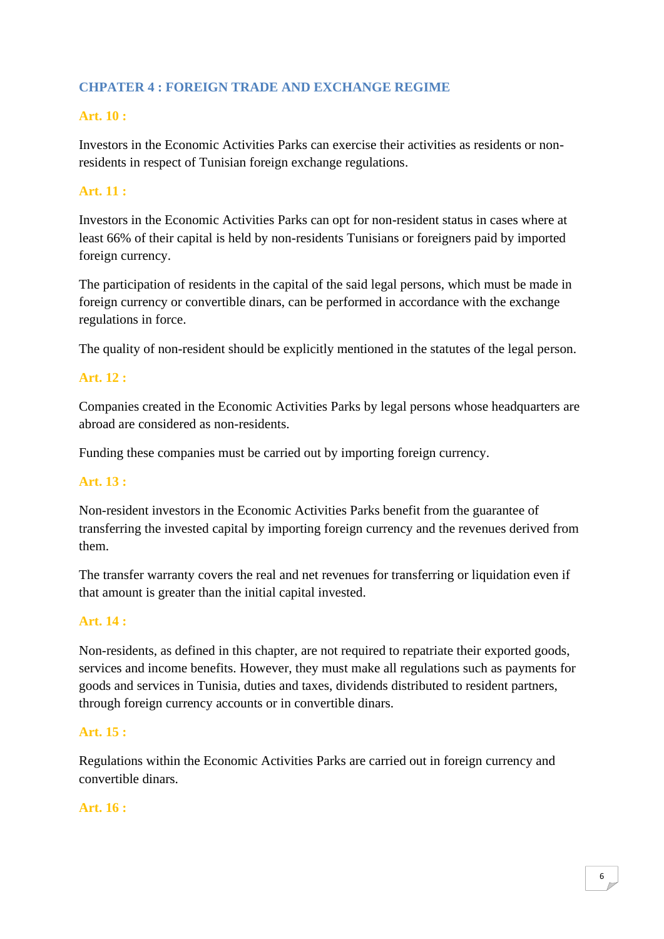# **CHPATER 4 : FOREIGN TRADE AND EXCHANGE REGIME**

# **Art. 10 :**

Investors in the Economic Activities Parks can exercise their activities as residents or nonresidents in respect of Tunisian foreign exchange regulations.

# **Art. 11 :**

Investors in the Economic Activities Parks can opt for non-resident status in cases where at least 66% of their capital is held by non-residents Tunisians or foreigners paid by imported foreign currency.

The participation of residents in the capital of the said legal persons, which must be made in foreign currency or convertible dinars, can be performed in accordance with the exchange regulations in force.

The quality of non-resident should be explicitly mentioned in the statutes of the legal person.

# **Art. 12 :**

Companies created in the Economic Activities Parks by legal persons whose headquarters are abroad are considered as non-residents.

Funding these companies must be carried out by importing foreign currency.

#### **Art. 13 :**

Non-resident investors in the Economic Activities Parks benefit from the guarantee of transferring the invested capital by importing foreign currency and the revenues derived from them.

The transfer warranty covers the real and net revenues for transferring or liquidation even if that amount is greater than the initial capital invested.

# **Art. 14 :**

Non-residents, as defined in this chapter, are not required to repatriate their exported goods, services and income benefits. However, they must make all regulations such as payments for goods and services in Tunisia, duties and taxes, dividends distributed to resident partners, through foreign currency accounts or in convertible dinars.

#### **Art. 15 :**

Regulations within the Economic Activities Parks are carried out in foreign currency and convertible dinars.

#### **Art. 16 :**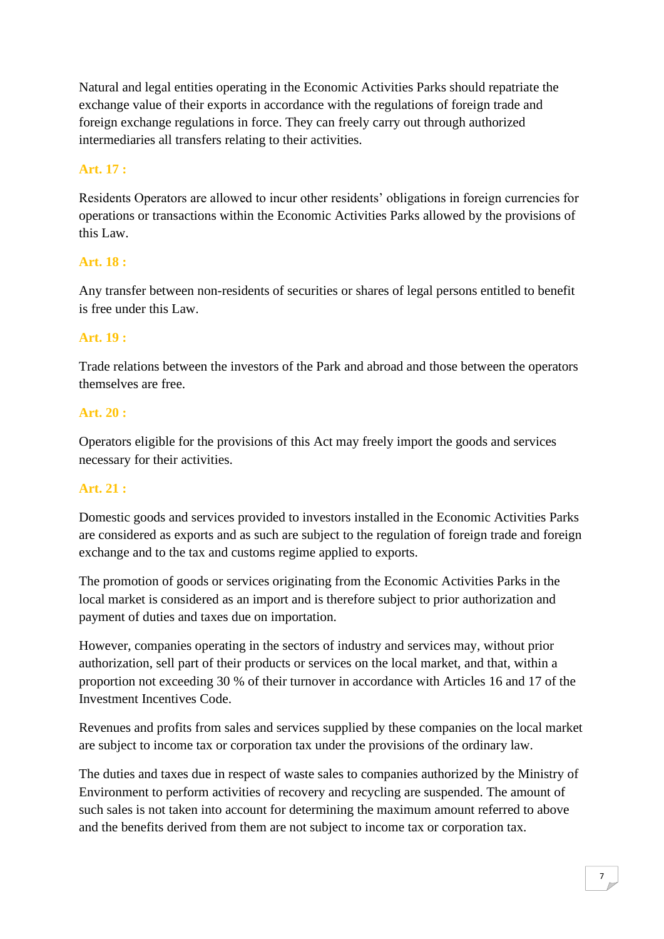Natural and legal entities operating in the Economic Activities Parks should repatriate the exchange value of their exports in accordance with the regulations of foreign trade and foreign exchange regulations in force. They can freely carry out through authorized intermediaries all transfers relating to their activities.

# **Art. 17 :**

Residents Operators are allowed to incur other residents' obligations in foreign currencies for operations or transactions within the Economic Activities Parks allowed by the provisions of this Law.

#### **Art. 18 :**

Any transfer between non-residents of securities or shares of legal persons entitled to benefit is free under this Law.

### **Art. 19 :**

Trade relations between the investors of the Park and abroad and those between the operators themselves are free.

#### **Art. 20 :**

Operators eligible for the provisions of this Act may freely import the goods and services necessary for their activities.

# **Art. 21 :**

Domestic goods and services provided to investors installed in the Economic Activities Parks are considered as exports and as such are subject to the regulation of foreign trade and foreign exchange and to the tax and customs regime applied to exports.

The promotion of goods or services originating from the Economic Activities Parks in the local market is considered as an import and is therefore subject to prior authorization and payment of duties and taxes due on importation.

However, companies operating in the sectors of industry and services may, without prior authorization, sell part of their products or services on the local market, and that, within a proportion not exceeding 30 % of their turnover in accordance with Articles 16 and 17 of the Investment Incentives Code.

Revenues and profits from sales and services supplied by these companies on the local market are subject to income tax or corporation tax under the provisions of the ordinary law.

The duties and taxes due in respect of waste sales to companies authorized by the Ministry of Environment to perform activities of recovery and recycling are suspended. The amount of such sales is not taken into account for determining the maximum amount referred to above and the benefits derived from them are not subject to income tax or corporation tax.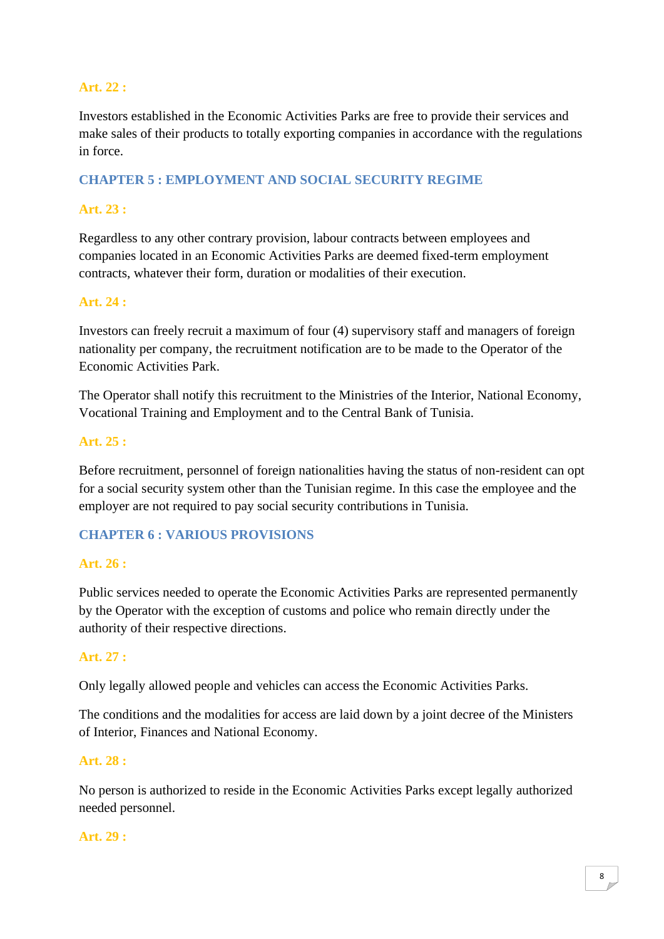# **Art. 22 :**

Investors established in the Economic Activities Parks are free to provide their services and make sales of their products to totally exporting companies in accordance with the regulations in force.

#### **CHAPTER 5 : EMPLOYMENT AND SOCIAL SECURITY REGIME**

#### **Art. 23 :**

Regardless to any other contrary provision, labour contracts between employees and companies located in an Economic Activities Parks are deemed fixed-term employment contracts, whatever their form, duration or modalities of their execution.

#### **Art. 24 :**

Investors can freely recruit a maximum of four (4) supervisory staff and managers of foreign nationality per company, the recruitment notification are to be made to the Operator of the Economic Activities Park.

The Operator shall notify this recruitment to the Ministries of the Interior, National Economy, Vocational Training and Employment and to the Central Bank of Tunisia.

#### **Art. 25 :**

Before recruitment, personnel of foreign nationalities having the status of non-resident can opt for a social security system other than the Tunisian regime. In this case the employee and the employer are not required to pay social security contributions in Tunisia.

#### **CHAPTER 6 : VARIOUS PROVISIONS**

#### **Art. 26 :**

Public services needed to operate the Economic Activities Parks are represented permanently by the Operator with the exception of customs and police who remain directly under the authority of their respective directions.

#### **Art. 27 :**

Only legally allowed people and vehicles can access the Economic Activities Parks.

The conditions and the modalities for access are laid down by a joint decree of the Ministers of Interior, Finances and National Economy.

#### **Art. 28 :**

No person is authorized to reside in the Economic Activities Parks except legally authorized needed personnel.

#### **Art. 29 :**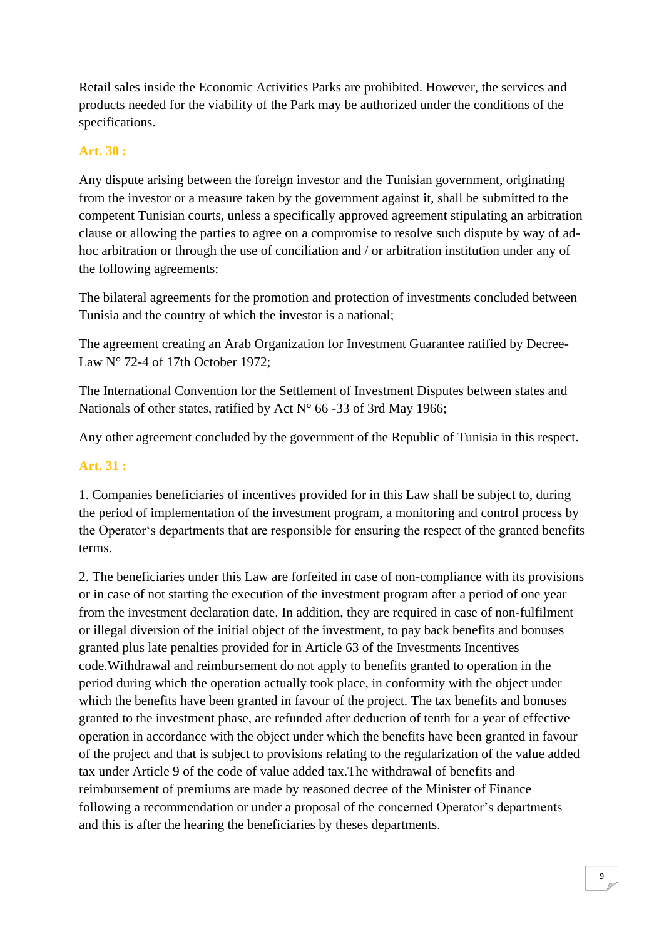Retail sales inside the Economic Activities Parks are prohibited. However, the services and products needed for the viability of the Park may be authorized under the conditions of the specifications.

#### **Art. 30 :**

Any dispute arising between the foreign investor and the Tunisian government, originating from the investor or a measure taken by the government against it, shall be submitted to the competent Tunisian courts, unless a specifically approved agreement stipulating an arbitration clause or allowing the parties to agree on a compromise to resolve such dispute by way of adhoc arbitration or through the use of conciliation and / or arbitration institution under any of the following agreements:

The bilateral agreements for the promotion and protection of investments concluded between Tunisia and the country of which the investor is a national;

The agreement creating an Arab Organization for Investment Guarantee ratified by Decree-Law N° 72-4 of 17th October 1972:

The International Convention for the Settlement of Investment Disputes between states and Nationals of other states, ratified by Act  $N^{\circ}$  66 -33 of 3rd May 1966;

Any other agreement concluded by the government of the Republic of Tunisia in this respect.

#### **Art. 31 :**

1. Companies beneficiaries of incentives provided for in this Law shall be subject to, during the period of implementation of the investment program, a monitoring and control process by the Operator's departments that are responsible for ensuring the respect of the granted benefits terms.

2. The beneficiaries under this Law are forfeited in case of non-compliance with its provisions or in case of not starting the execution of the investment program after a period of one year from the investment declaration date. In addition, they are required in case of non-fulfilment or illegal diversion of the initial object of the investment, to pay back benefits and bonuses granted plus late penalties provided for in Article 63 of the Investments Incentives code.Withdrawal and reimbursement do not apply to benefits granted to operation in the period during which the operation actually took place, in conformity with the object under which the benefits have been granted in favour of the project. The tax benefits and bonuses granted to the investment phase, are refunded after deduction of tenth for a year of effective operation in accordance with the object under which the benefits have been granted in favour of the project and that is subject to provisions relating to the regularization of the value added tax under Article 9 of the code of value added tax.The withdrawal of benefits and reimbursement of premiums are made by reasoned decree of the Minister of Finance following a recommendation or under a proposal of the concerned Operator's departments and this is after the hearing the beneficiaries by theses departments.